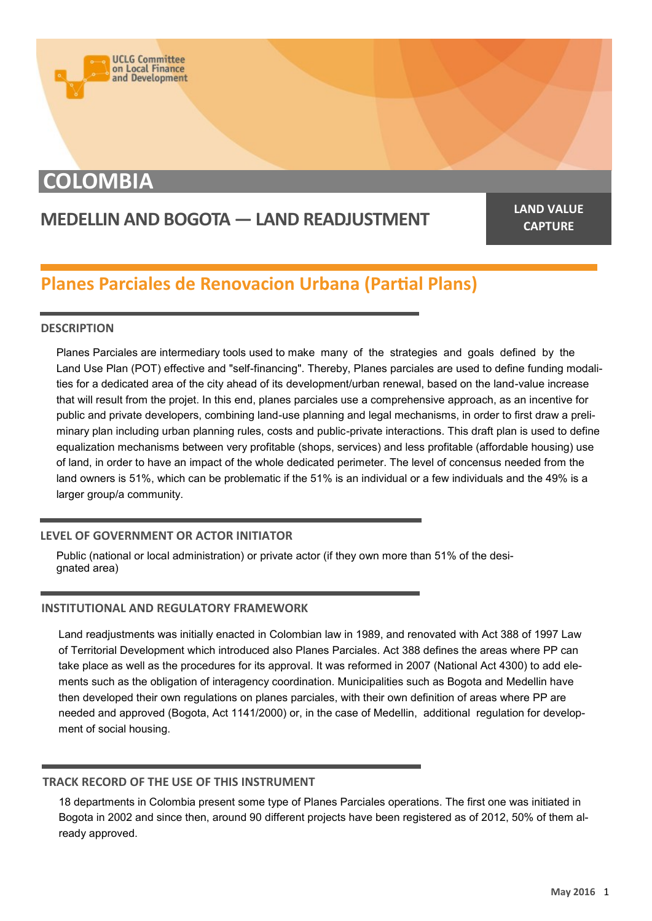

## **COLOMBIA**

# **MEDELLIN AND BOGOTA — LAND READJUSTMENT LAND VALUE**

**CAPTURE**

### **Planes Parciales de Renovacion Urbana (Partial Plans)**

#### **DESCRIPTION**

Planes Parciales are intermediary tools used to make many of the strategies and goals defined by the Land Use Plan (POT) effective and "self-financing". Thereby, Planes parciales are used to define funding modalities for a dedicated area of the city ahead of its development/urban renewal, based on the land-value increase that will result from the projet. In this end, planes parciales use a comprehensive approach, as an incentive for public and private developers, combining land-use planning and legal mechanisms, in order to first draw a preliminary plan including urban planning rules, costs and public-private interactions. This draft plan is used to define equalization mechanisms between very profitable (shops, services) and less profitable (affordable housing) use of land, in order to have an impact of the whole dedicated perimeter. The level of concensus needed from the land owners is 51%, which can be problematic if the 51% is an individual or a few individuals and the 49% is a larger group/a community.

#### **LEVEL OF GOVERNMENT OR ACTOR INITIATOR**

Public (national or local administration) or private actor (if they own more than 51% of the designated area)

#### **INSTITUTIONAL AND REGULATORY FRAMEWORK**

Land readjustments was initially enacted in Colombian law in 1989, and renovated with Act 388 of 1997 Law of Territorial Development which introduced also Planes Parciales. Act 388 defines the areas where PP can take place as well as the procedures for its approval. It was reformed in 2007 (National Act 4300) to add elements such as the obligation of interagency coordination. Municipalities such as Bogota and Medellin have then developed their own regulations on planes parciales, with their own definition of areas where PP are needed and approved (Bogota, Act 1141/2000) or, in the case of Medellin, additional regulation for development of social housing.

#### **TRACK RECORD OF THE USE OF THIS INSTRUMENT**

18 departments in Colombia present some type of Planes Parciales operations. The first one was initiated in Bogota in 2002 and since then, around 90 different projects have been registered as of 2012, 50% of them already approved.